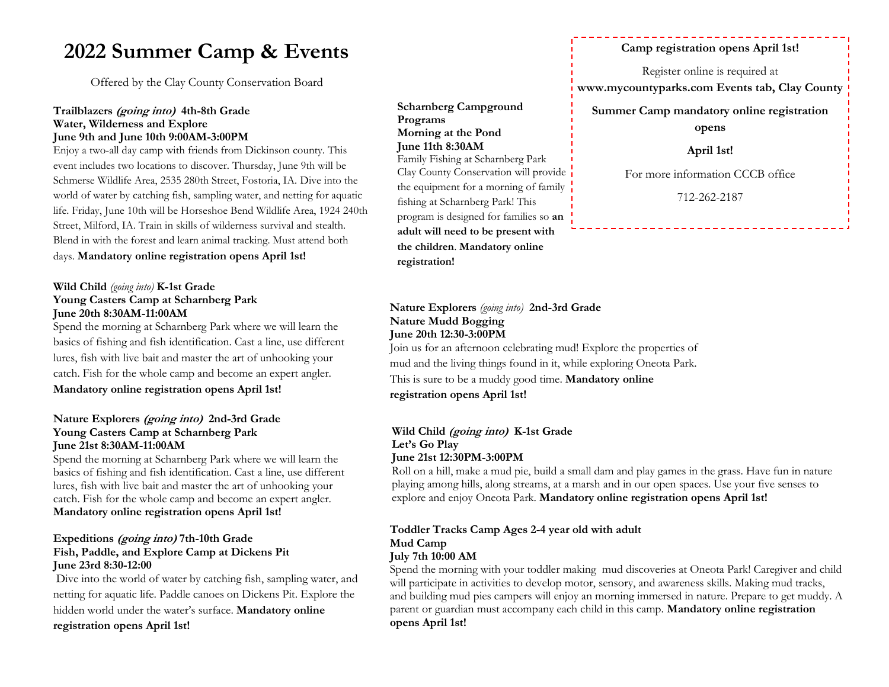# **2022 Summer Camp & Events**

Offered by the Clay County Conservation Board

#### **Trailblazers (going into) 4th-8th Grade Water, Wilderness and Explore June 9th and June 10th 9:00AM-3:00PM**

Enjoy a two-all day camp with friends from Dickinson county. This event includes two locations to discover. Thursday, June 9th will be Schmerse Wildlife Area, 2535 280th Street, Fostoria, IA. Dive into the world of water by catching fish, sampling water, and netting for aquatic life. Friday, June 10th will be Horseshoe Bend Wildlife Area, 1924 240th Street, Milford, IA. Train in skills of wilderness survival and stealth. Blend in with the forest and learn animal tracking. Must attend both days. **Mandatory online registration opens April 1st!**

#### **Wild Child** *(going into)* **K-1st Grade Young Casters Camp at Scharnberg Park June 20th 8:30AM-11:00AM**

Spend the morning at Scharnberg Park where we will learn the basics of fishing and fish identification. Cast a line, use different lures, fish with live bait and master the art of unhooking your catch. Fish for the whole camp and become an expert angler. **Mandatory online registration opens April 1st!**

#### **Nature Explorers (going into) 2nd-3rd Grade Young Casters Camp at Scharnberg Park June 21st 8:30AM-11:00AM**

Spend the morning at Scharnberg Park where we will learn the basics of fishing and fish identification. Cast a line, use different lures, fish with live bait and master the art of unhooking your catch. Fish for the whole camp and become an expert angler. **Mandatory online registration opens April 1st!**

#### **Expeditions (going into) 7th-10th Grade Fish, Paddle, and Explore Camp at Dickens Pit June 23rd 8:30-12:00**

Dive into the world of water by catching fish, sampling water, and netting for aquatic life. Paddle canoes on Dickens Pit. Explore the hidden world under the water's surface. **Mandatory online registration opens April 1st!**

**Scharnberg Campground Programs Morning at the Pond June 11th 8:30AM** Family Fishing at Scharnberg Park Clay County Conservation will provide the equipment for a morning of family fishing at Scharnberg Park! This program is designed for families so **an adult will need to be present with the children**. **Mandatory online registration!**

# **Nature Explorers** *(going into)* **2nd-3rd Grade Nature Mudd Bogging June 20th 12:30-3:00PM**

Join us for an afternoon celebrating mud! Explore the properties of mud and the living things found in it, while exploring Oneota Park. This is sure to be a muddy good time. **Mandatory online registration opens April 1st!**

#### **Wild Child (going into) K-1st Grade Let's Go Play June 21st 12:30PM-3:00PM**

Roll on a hill, make a mud pie, build a small dam and play games in the grass. Have fun in nature playing among hills, along streams, at a marsh and in our open spaces. Use your five senses to explore and enjoy Oneota Park. **Mandatory online registration opens April 1st!**

#### **Toddler Tracks Camp Ages 2-4 year old with adult Mud Camp July 7th 10:00 AM**

Spend the morning with your toddler making mud discoveries at Oneota Park! Caregiver and child will participate in activities to develop motor, sensory, and awareness skills. Making mud tracks, and building mud pies campers will enjoy an morning immersed in nature. Prepare to get muddy. A parent or guardian must accompany each child in this camp. **Mandatory online registration opens April 1st!**

# **Camp registration opens April 1st!**

Register online is required at

**www.mycountyparks.com Events tab, Clay County** 

**Summer Camp mandatory online registration** 

**opens** 

**April 1st!**

For more information CCCB office

712-262-2187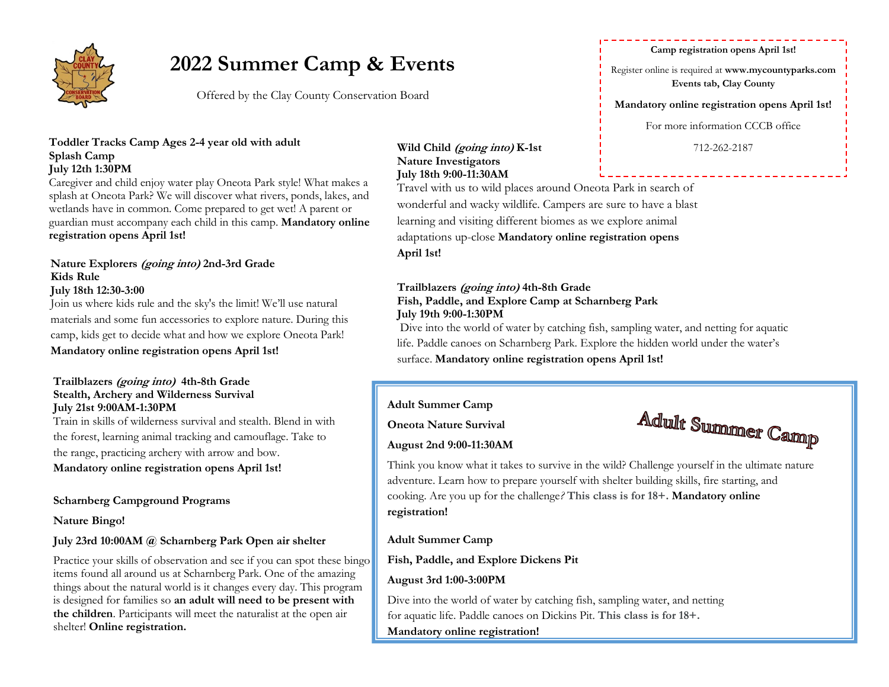

# **2022 Summer Camp & Events**

Offered by the Clay County Conservation Board

#### Toddler Tracks Camp Ages 2-4 year old with adult<br>Wild Child (going into) K-1st and Tracks Camp Ages 2-4 year old with adult **Splash Camp July 12th 1:30PM**

Caregiver and child enjoy water play Oneota Park style! What makes a splash at Oneota Park? We will discover what rivers, ponds, lakes, and wetlands have in common. Come prepared to get wet! A parent or guardian must accompany each child in this camp. **Mandatory online registration opens April 1st!**

# **Nature Explorers (going into) 2nd-3rd Grade Kids Rule**

### **July 18th 12:30-3:00**

Join us where kids rule and the sky's the limit! We'll use natural materials and some fun accessories to explore nature. During this camp, kids get to decide what and how we explore Oneota Park! **Mandatory online registration opens April 1st!**

#### **Trailblazers (going into) 4th-8th Grade Stealth, Archery and Wilderness Survival July 21st 9:00AM-1:30PM**

Train in skills of wilderness survival and stealth. Blend in with the forest, learning animal tracking and camouflage. Take to the range, practicing archery with arrow and bow. **Mandatory online registration opens April 1st!**

### **Scharnberg Campground Programs**

**Nature Bingo!**

# **July 23rd 10:00AM @ Scharnberg Park Open air shelter**

Practice your skills of observation and see if you can spot these bingo items found all around us at Scharnberg Park. One of the amazing things about the natural world is it changes every day. This program is designed for families so **an adult will need to be present with the children**. Participants will meet the naturalist at the open air shelter! **Online registration.** 

### **Wild Child (going into) K-1st Nature Investigators July 18th 9:00-11:30AM**

Travel with us to wild places around Oneota Park in search of wonderful and wacky wildlife. Campers are sure to have a blast learning and visiting different biomes as we explore animal adaptations up-close **Mandatory online registration opens April 1st!**

### **Trailblazers (going into) 4th-8th Grade Fish, Paddle, and Explore Camp at Scharnberg Park July 19th 9:00-1:30PM**

Dive into the world of water by catching fish, sampling water, and netting for aquatic life. Paddle canoes on Scharnberg Park. Explore the hidden world under the water's surface. **Mandatory online registration opens April 1st!**

# **Adult Summer Camp**

**Oneota Nature Survival** 



# **August 2nd 9:00-11:30AM**

Think you know what it takes to survive in the wild? Challenge yourself in the ultimate nature adventure. Learn how to prepare yourself with shelter building skills, fire starting, and cooking. Are you up for the challenge*?* **This class is for 18+. Mandatory online registration!**

# **Adult Summer Camp**

# **Fish, Paddle, and Explore Dickens Pit**

# **August 3rd 1:00-3:00PM**

Dive into the world of water by catching fish, sampling water, and netting for aquatic life. Paddle canoes on Dickins Pit. **This class is for 18+. Mandatory online registration!**

#### **Camp registration opens April 1st!**

Register online is required at **www.mycountyparks.com Events tab, Clay County** 

**Mandatory online registration opens April 1st!**

For more information CCCB office